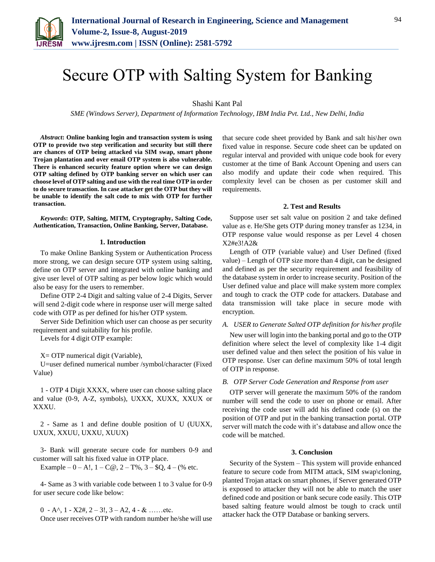

# Secure OTP with Salting System for Banking

Shashi Kant Pal

*SME (Windows Server), Department of Information Technology, IBM India Pvt. Ltd., New Delhi, India*

*Abstract***: Online banking login and transaction system is using OTP to provide two step verification and security but still there are chances of OTP being attacked via SIM swap, smart phone Trojan plantation and over email OTP system is also vulnerable. There is enhanced security feature option where we can design OTP salting defined by OTP banking server on which user can choose level of OTP salting and use with the real time OTP in order to do secure transaction. In case attacker get the OTP but they will be unable to identify the salt code to mix with OTP for further transaction.**

*Keywords***: OTP, Salting, MITM, Cryptography, Salting Code, Authentication, Transaction, Online Banking, Server, Database.**

## **1. Introduction**

To make Online Banking System or Authentication Process more strong, we can design secure OTP system using salting, define on OTP server and integrated with online banking and give user level of OTP salting as per below logic which would also be easy for the users to remember.

Define OTP 2-4 Digit and salting value of 2-4 Digits, Server will send 2-digit code where in response user will merge salted code with OTP as per defined for his/her OTP system.

Server Side Definition which user can choose as per security requirement and suitability for his profile.

Levels for 4 digit OTP example:

X= OTP numerical digit (Variable),

U=user defined numerical number /symbol/character (Fixed Value)

1 - OTP 4 Digit XXXX, where user can choose salting place and value (0-9, A-Z, symbols), UXXX, XUXX, XXUX or XXXU.

2 - Same as 1 and define double position of U (UUXX, UXUX, XXUU, UXXU, XUUX)

3- Bank will generate secure code for numbers 0-9 and customer will salt his fixed value in OTP place.

Example –  $0 - A!$ ,  $1 - C@$ ,  $2 - T\%$ ,  $3 - \$Q$ ,  $4 - (\%$  etc.

4- Same as 3 with variable code between 1 to 3 value for 0-9 for user secure code like below:

0 -  $A^{\wedge}$ , 1 -  $X2\#$ , 2 – 3!, 3 – A2, 4 - & ……etc. Once user receives OTP with random number he/she will use that secure code sheet provided by Bank and salt his\her own fixed value in response. Secure code sheet can be updated on regular interval and provided with unique code book for every customer at the time of Bank Account Opening and users can also modify and update their code when required. This complexity level can be chosen as per customer skill and requirements.

#### **2. Test and Results**

Suppose user set salt value on position 2 and take defined value as e. He/She gets OTP during money transfer as 1234, in OTP response value would response as per Level 4 chosen X2#e3!A2&

Length of OTP (variable value) and User Defined (fixed value) – Length of OTP size more than 4 digit, can be designed and defined as per the security requirement and feasibility of the database system in order to increase security. Position of the User defined value and place will make system more complex and tough to crack the OTP code for attackers. Database and data transmission will take place in secure mode with encryption.

# *A. USER to Generate Salted OTP definition for his/her profile*

New user will login into the banking portal and go to the OTP definition where select the level of complexity like 1-4 digit user defined value and then select the position of his value in OTP response. User can define maximum 50% of total length of OTP in response.

## *B. OTP Server Code Generation and Response from user*

OTP server will generate the maximum 50% of the random number will send the code to user on phone or email. After receiving the code user will add his defined code (s) on the position of OTP and put in the banking transaction portal. OTP server will match the code with it's database and allow once the code will be matched.

#### **3. Conclusion**

Security of the System – This system will provide enhanced feature to secure code from MITM attack, SIM swap\cloning, planted Trojan attack on smart phones, if Server generated OTP is exposed to attacker they will not be able to match the user defined code and position or bank secure code easily. This OTP based salting feature would almost be tough to crack until attacker hack the OTP Database or banking servers.